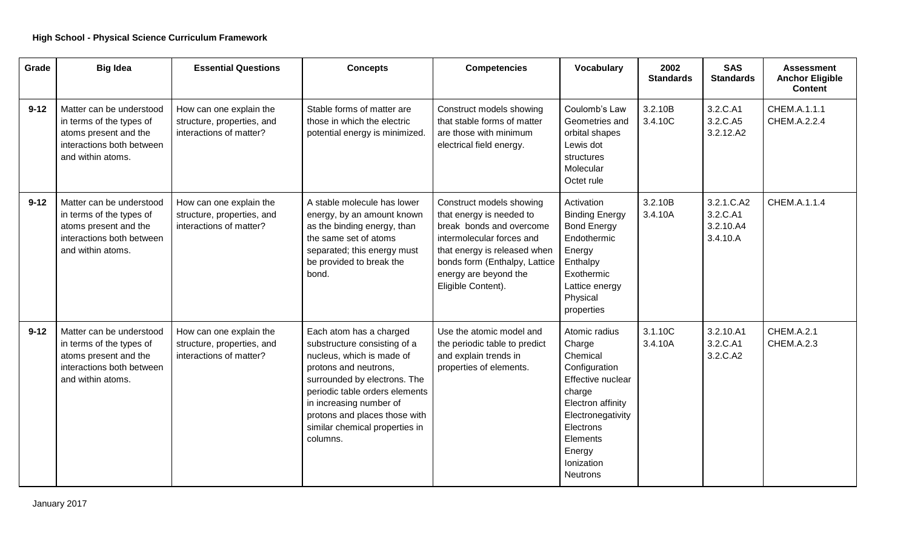| Grade    | <b>Big Idea</b>                                                                                                                 | <b>Essential Questions</b>                                                       | <b>Concepts</b>                                                                                                                                                                                                                                                                           | <b>Competencies</b>                                                                                                                                                                                                           | <b>Vocabulary</b>                                                                                                                                                                                 | 2002<br><b>Standards</b> | <b>SAS</b><br><b>Standards</b>                  | <b>Assessment</b><br><b>Anchor Eligible</b><br><b>Content</b> |
|----------|---------------------------------------------------------------------------------------------------------------------------------|----------------------------------------------------------------------------------|-------------------------------------------------------------------------------------------------------------------------------------------------------------------------------------------------------------------------------------------------------------------------------------------|-------------------------------------------------------------------------------------------------------------------------------------------------------------------------------------------------------------------------------|---------------------------------------------------------------------------------------------------------------------------------------------------------------------------------------------------|--------------------------|-------------------------------------------------|---------------------------------------------------------------|
| $9 - 12$ | Matter can be understood<br>in terms of the types of<br>atoms present and the<br>interactions both between<br>and within atoms. | How can one explain the<br>structure, properties, and<br>interactions of matter? | Stable forms of matter are<br>those in which the electric<br>potential energy is minimized.                                                                                                                                                                                               | Construct models showing<br>that stable forms of matter<br>are those with minimum<br>electrical field energy.                                                                                                                 | Coulomb's Law<br>Geometries and<br>orbital shapes<br>Lewis dot<br>structures<br>Molecular<br>Octet rule                                                                                           | 3.2.10B<br>3.4.10C       | 3.2.C.A1<br>3.2.C.A5<br>3.2.12.A2               | CHEM.A.1.1.1<br>CHEM.A.2.2.4                                  |
| $9 - 12$ | Matter can be understood<br>in terms of the types of<br>atoms present and the<br>interactions both between<br>and within atoms. | How can one explain the<br>structure, properties, and<br>interactions of matter? | A stable molecule has lower<br>energy, by an amount known<br>as the binding energy, than<br>the same set of atoms<br>separated; this energy must<br>be provided to break the<br>bond.                                                                                                     | Construct models showing<br>that energy is needed to<br>break bonds and overcome<br>intermolecular forces and<br>that energy is released when<br>bonds form (Enthalpy, Lattice<br>energy are beyond the<br>Eligible Content). | Activation<br><b>Binding Energy</b><br><b>Bond Energy</b><br>Endothermic<br>Energy<br>Enthalpy<br>Exothermic<br>Lattice energy<br>Physical<br>properties                                          | 3.2.10B<br>3.4.10A       | 3.2.1.C.A2<br>3.2.C.A1<br>3.2.10.A4<br>3.4.10.A | CHEM.A.1.1.4                                                  |
| $9 - 12$ | Matter can be understood<br>in terms of the types of<br>atoms present and the<br>interactions both between<br>and within atoms. | How can one explain the<br>structure, properties, and<br>interactions of matter? | Each atom has a charged<br>substructure consisting of a<br>nucleus, which is made of<br>protons and neutrons,<br>surrounded by electrons. The<br>periodic table orders elements<br>in increasing number of<br>protons and places those with<br>similar chemical properties in<br>columns. | Use the atomic model and<br>the periodic table to predict<br>and explain trends in<br>properties of elements.                                                                                                                 | Atomic radius<br>Charge<br>Chemical<br>Configuration<br>Effective nuclear<br>charge<br>Electron affinity<br>Electronegativity<br>Electrons<br>Elements<br>Energy<br>Ionization<br><b>Neutrons</b> | 3.1.10C<br>3.4.10A       | 3.2.10.A1<br>3.2.C.A1<br>3.2.C.A2               | <b>CHEM.A.2.1</b><br>CHEM.A.2.3                               |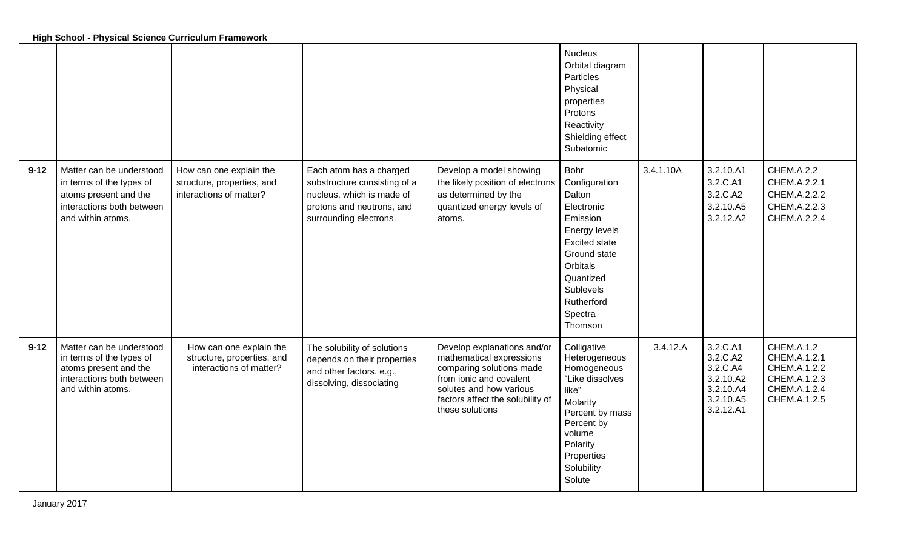|          |                                                                                                                                 |                                                                                  |                                                                                                                                             |                                                                                                                                                                                                  | Nucleus<br>Orbital diagram<br>Particles<br>Physical<br>properties<br>Protons<br>Reactivity<br>Shielding effect<br>Subatomic                                                                  |           |                                                                                      |                                                                                                   |
|----------|---------------------------------------------------------------------------------------------------------------------------------|----------------------------------------------------------------------------------|---------------------------------------------------------------------------------------------------------------------------------------------|--------------------------------------------------------------------------------------------------------------------------------------------------------------------------------------------------|----------------------------------------------------------------------------------------------------------------------------------------------------------------------------------------------|-----------|--------------------------------------------------------------------------------------|---------------------------------------------------------------------------------------------------|
| $9 - 12$ | Matter can be understood<br>in terms of the types of<br>atoms present and the<br>interactions both between<br>and within atoms. | How can one explain the<br>structure, properties, and<br>interactions of matter? | Each atom has a charged<br>substructure consisting of a<br>nucleus, which is made of<br>protons and neutrons, and<br>surrounding electrons. | Develop a model showing<br>the likely position of electrons<br>as determined by the<br>quantized energy levels of<br>atoms.                                                                      | Bohr<br>Configuration<br>Dalton<br>Electronic<br>Emission<br>Energy levels<br><b>Excited state</b><br>Ground state<br>Orbitals<br>Quantized<br>Sublevels<br>Rutherford<br>Spectra<br>Thomson | 3.4.1.10A | 3.2.10.A1<br>3.2.C.A1<br>3.2.C.A2<br>3.2.10.A5<br>3.2.12.A2                          | CHEM.A.2.2<br>CHEM.A.2.2.1<br>CHEM.A.2.2.2<br>CHEM.A.2.2.3<br>CHEM.A.2.2.4                        |
| $9 - 12$ | Matter can be understood<br>in terms of the types of<br>atoms present and the<br>interactions both between<br>and within atoms. | How can one explain the<br>structure, properties, and<br>interactions of matter? | The solubility of solutions<br>depends on their properties<br>and other factors. e.g.,<br>dissolving, dissociating                          | Develop explanations and/or<br>mathematical expressions<br>comparing solutions made<br>from ionic and covalent<br>solutes and how various<br>factors affect the solubility of<br>these solutions | Colligative<br>Heterogeneous<br>Homogeneous<br>"Like dissolves<br>like"<br>Molarity<br>Percent by mass<br>Percent by<br>volume<br>Polarity<br>Properties<br>Solubility<br>Solute             | 3.4.12.A  | 3.2.C.A1<br>3.2.C.A2<br>3.2.C.A4<br>3.2.10.A2<br>3.2.10.A4<br>3.2.10.A5<br>3.2.12.A1 | <b>CHEM.A.1.2</b><br>CHEM.A.1.2.1<br>CHEM.A.1.2.2<br>CHEM.A.1.2.3<br>CHEM.A.1.2.4<br>CHEM.A.1.2.5 |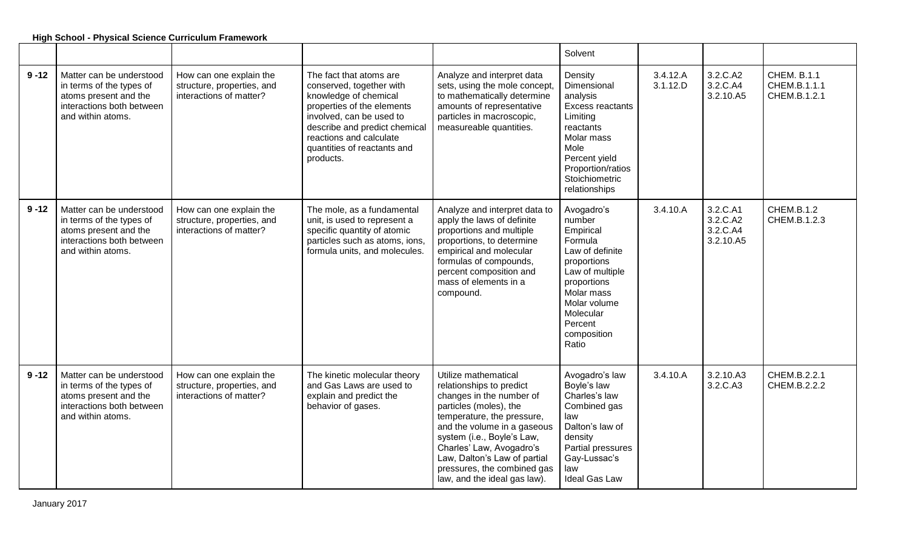|          | High School - Physical Science Curriculum Framework                                                                             |                                                                                  |                                                                                                                                                                                                                                                |                                                                                                                                                                                                                                                                                                                              |                                                                                                                                                                                                |                      |                                               |                                                    |  |  |  |
|----------|---------------------------------------------------------------------------------------------------------------------------------|----------------------------------------------------------------------------------|------------------------------------------------------------------------------------------------------------------------------------------------------------------------------------------------------------------------------------------------|------------------------------------------------------------------------------------------------------------------------------------------------------------------------------------------------------------------------------------------------------------------------------------------------------------------------------|------------------------------------------------------------------------------------------------------------------------------------------------------------------------------------------------|----------------------|-----------------------------------------------|----------------------------------------------------|--|--|--|
|          |                                                                                                                                 |                                                                                  |                                                                                                                                                                                                                                                |                                                                                                                                                                                                                                                                                                                              | Solvent                                                                                                                                                                                        |                      |                                               |                                                    |  |  |  |
| $9 - 12$ | Matter can be understood<br>in terms of the types of<br>atoms present and the<br>interactions both between<br>and within atoms. | How can one explain the<br>structure, properties, and<br>interactions of matter? | The fact that atoms are<br>conserved, together with<br>knowledge of chemical<br>properties of the elements<br>involved, can be used to<br>describe and predict chemical<br>reactions and calculate<br>quantities of reactants and<br>products. | Analyze and interpret data<br>sets, using the mole concept,<br>to mathematically determine<br>amounts of representative<br>particles in macroscopic,<br>measureable quantities.                                                                                                                                              | Density<br>Dimensional<br>analysis<br>Excess reactants<br>Limiting<br>reactants<br>Molar mass<br>Mole<br>Percent yield<br>Proportion/ratios<br>Stoichiometric<br>relationships                 | 3.4.12.A<br>3.1.12.D | 3.2.C.A2<br>3.2.C.A4<br>3.2.10.A5             | <b>CHEM. B.1.1</b><br>CHEM.B.1.1.1<br>CHEM.B.1.2.1 |  |  |  |
| $9 - 12$ | Matter can be understood<br>in terms of the types of<br>atoms present and the<br>interactions both between<br>and within atoms. | How can one explain the<br>structure, properties, and<br>interactions of matter? | The mole, as a fundamental<br>unit, is used to represent a<br>specific quantity of atomic<br>particles such as atoms, ions,<br>formula units, and molecules.                                                                                   | Analyze and interpret data to<br>apply the laws of definite<br>proportions and multiple<br>proportions, to determine<br>empirical and molecular<br>formulas of compounds,<br>percent composition and<br>mass of elements in a<br>compound.                                                                                   | Avogadro's<br>number<br>Empirical<br>Formula<br>Law of definite<br>proportions<br>Law of multiple<br>proportions<br>Molar mass<br>Molar volume<br>Molecular<br>Percent<br>composition<br>Ratio | 3.4.10.A             | 3.2.C.A1<br>3.2.C.A2<br>3.2.C.A4<br>3.2.10.A5 | CHEM.B.1.2<br>CHEM.B.1.2.3                         |  |  |  |
| $9 - 12$ | Matter can be understood<br>in terms of the types of<br>atoms present and the<br>interactions both between<br>and within atoms. | How can one explain the<br>structure, properties, and<br>interactions of matter? | The kinetic molecular theory<br>and Gas Laws are used to<br>explain and predict the<br>behavior of gases.                                                                                                                                      | Utilize mathematical<br>relationships to predict<br>changes in the number of<br>particles (moles), the<br>temperature, the pressure,<br>and the volume in a gaseous<br>system (i.e., Boyle's Law,<br>Charles' Law, Avogadro's<br>Law, Dalton's Law of partial<br>pressures, the combined gas<br>law, and the ideal gas law). | Avogadro's law<br>Boyle's law<br>Charles's law<br>Combined gas<br>law<br>Dalton's law of<br>density<br>Partial pressures<br>Gay-Lussac's<br>law<br><b>Ideal Gas Law</b>                        | 3.4.10.A             | 3.2.10.A3<br>3.2.C.A3                         | CHEM.B.2.2.1<br>CHEM.B.2.2.2                       |  |  |  |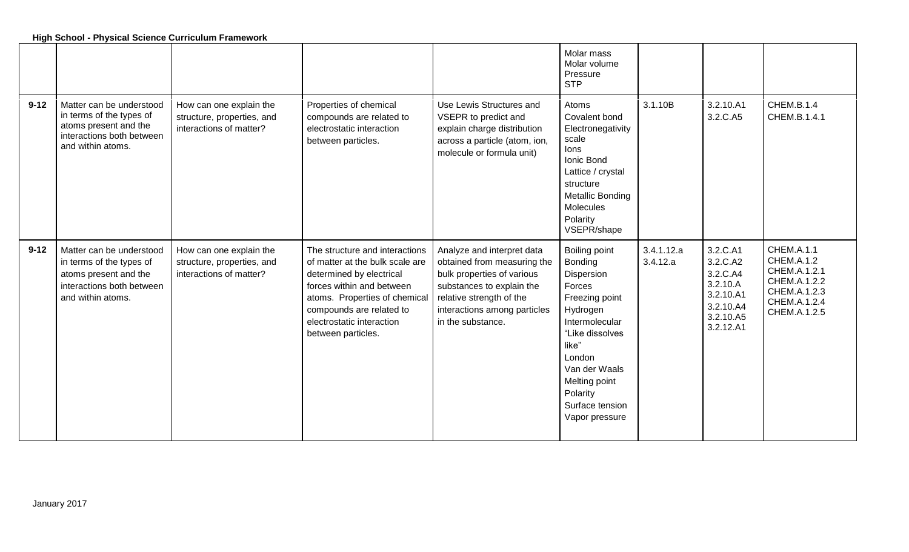|          | High School - Physical Science Curriculum Framework                                                                             |                                                                                  |                                                                                                                                                                                                                                            |                                                                                                                                                                                                       |                                                                                                                                                                                                                           |                        |                                                                                                  |                                                                                                                        |
|----------|---------------------------------------------------------------------------------------------------------------------------------|----------------------------------------------------------------------------------|--------------------------------------------------------------------------------------------------------------------------------------------------------------------------------------------------------------------------------------------|-------------------------------------------------------------------------------------------------------------------------------------------------------------------------------------------------------|---------------------------------------------------------------------------------------------------------------------------------------------------------------------------------------------------------------------------|------------------------|--------------------------------------------------------------------------------------------------|------------------------------------------------------------------------------------------------------------------------|
|          |                                                                                                                                 |                                                                                  |                                                                                                                                                                                                                                            |                                                                                                                                                                                                       | Molar mass<br>Molar volume<br>Pressure<br><b>STP</b>                                                                                                                                                                      |                        |                                                                                                  |                                                                                                                        |
| $9 - 12$ | Matter can be understood<br>in terms of the types of<br>atoms present and the<br>interactions both between<br>and within atoms. | How can one explain the<br>structure, properties, and<br>interactions of matter? | Properties of chemical<br>compounds are related to<br>electrostatic interaction<br>between particles.                                                                                                                                      | Use Lewis Structures and<br>VSEPR to predict and<br>explain charge distribution<br>across a particle (atom, ion,<br>molecule or formula unit)                                                         | Atoms<br>Covalent bond<br>Electronegativity<br>scale<br>lons<br>Ionic Bond<br>Lattice / crystal<br>structure<br><b>Metallic Bonding</b><br><b>Molecules</b><br>Polarity<br>VSEPR/shape                                    | 3.1.10B                | 3.2.10.A1<br>3.2.C.A5                                                                            | CHEM.B.1.4<br>CHEM.B.1.4.1                                                                                             |
| $9 - 12$ | Matter can be understood<br>in terms of the types of<br>atoms present and the<br>interactions both between<br>and within atoms. | How can one explain the<br>structure, properties, and<br>interactions of matter? | The structure and interactions<br>of matter at the bulk scale are<br>determined by electrical<br>forces within and between<br>atoms. Properties of chemical<br>compounds are related to<br>electrostatic interaction<br>between particles. | Analyze and interpret data<br>obtained from measuring the<br>bulk properties of various<br>substances to explain the<br>relative strength of the<br>interactions among particles<br>in the substance. | Boiling point<br>Bonding<br>Dispersion<br>Forces<br>Freezing point<br>Hydrogen<br>Intermolecular<br>"Like dissolves<br>like"<br>London<br>Van der Waals<br>Melting point<br>Polarity<br>Surface tension<br>Vapor pressure | 3.4.1.12.a<br>3.4.12.a | 3.2.C.A1<br>3.2.C.A2<br>3.2.C.A4<br>3.2.10.A<br>3.2.10.A1<br>3.2.10.A4<br>3.2.10.A5<br>3.2.12.A1 | <b>CHEM.A.1.1</b><br><b>CHEM.A.1.2</b><br>CHEM.A.1.2.1<br>CHEM.A.1.2.2<br>CHEM.A.1.2.3<br>CHEM.A.1.2.4<br>CHEM.A.1.2.5 |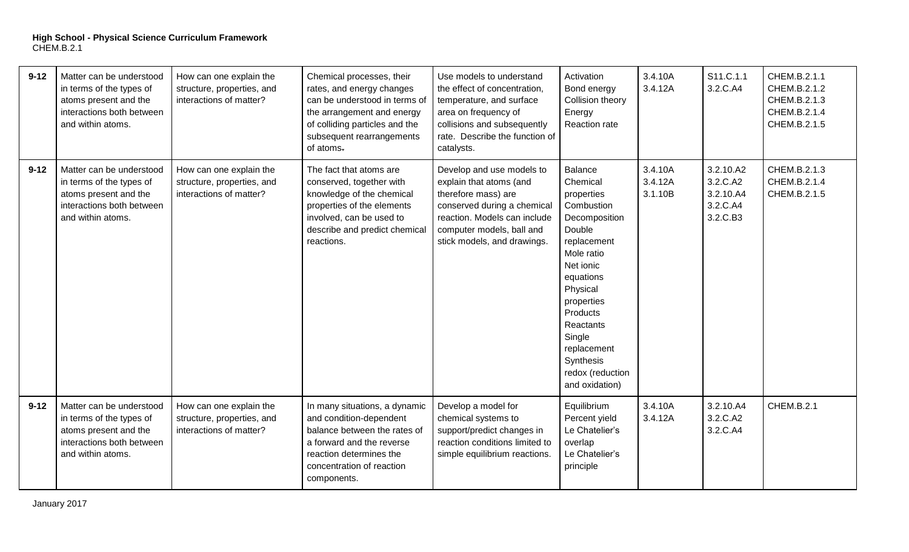| $9 - 12$ | Matter can be understood<br>in terms of the types of<br>atoms present and the<br>interactions both between<br>and within atoms. | How can one explain the<br>structure, properties, and<br>interactions of matter? | Chemical processes, their<br>rates, and energy changes<br>can be understood in terms of<br>the arrangement and energy<br>of colliding particles and the<br>subsequent rearrangements<br>of atoms. | Use models to understand<br>the effect of concentration,<br>temperature, and surface<br>area on frequency of<br>collisions and subsequently<br>rate. Describe the function of<br>catalysts.            | Activation<br>Bond energy<br>Collision theory<br>Energy<br>Reaction rate                                                                                                                                                                                                | 3.4.10A<br>3.4.12A            | S11.C.1.1<br>3.2.C.A4                                      | CHEM.B.2.1.1<br>CHEM.B.2.1.2<br>CHEM.B.2.1.3<br>CHEM.B.2.1.4<br>CHEM.B.2.1.5 |
|----------|---------------------------------------------------------------------------------------------------------------------------------|----------------------------------------------------------------------------------|---------------------------------------------------------------------------------------------------------------------------------------------------------------------------------------------------|--------------------------------------------------------------------------------------------------------------------------------------------------------------------------------------------------------|-------------------------------------------------------------------------------------------------------------------------------------------------------------------------------------------------------------------------------------------------------------------------|-------------------------------|------------------------------------------------------------|------------------------------------------------------------------------------|
| $9 - 12$ | Matter can be understood<br>in terms of the types of<br>atoms present and the<br>interactions both between<br>and within atoms. | How can one explain the<br>structure, properties, and<br>interactions of matter? | The fact that atoms are<br>conserved, together with<br>knowledge of the chemical<br>properties of the elements<br>involved, can be used to<br>describe and predict chemical<br>reactions.         | Develop and use models to<br>explain that atoms (and<br>therefore mass) are<br>conserved during a chemical<br>reaction. Models can include<br>computer models, ball and<br>stick models, and drawings. | <b>Balance</b><br>Chemical<br>properties<br>Combustion<br>Decomposition<br>Double<br>replacement<br>Mole ratio<br>Net ionic<br>equations<br>Physical<br>properties<br>Products<br>Reactants<br>Single<br>replacement<br>Synthesis<br>redox (reduction<br>and oxidation) | 3.4.10A<br>3.4.12A<br>3.1.10B | 3.2.10.A2<br>3.2.C.A2<br>3.2.10.A4<br>3.2.C.A4<br>3.2.C.B3 | CHEM.B.2.1.3<br>CHEM.B.2.1.4<br>CHEM.B.2.1.5                                 |
| $9 - 12$ | Matter can be understood<br>in terms of the types of<br>atoms present and the<br>interactions both between<br>and within atoms. | How can one explain the<br>structure, properties, and<br>interactions of matter? | In many situations, a dynamic<br>and condition-dependent<br>balance between the rates of<br>a forward and the reverse<br>reaction determines the<br>concentration of reaction<br>components.      | Develop a model for<br>chemical systems to<br>support/predict changes in<br>reaction conditions limited to<br>simple equilibrium reactions.                                                            | Equilibrium<br>Percent yield<br>Le Chatelier's<br>overlap<br>Le Chatelier's<br>principle                                                                                                                                                                                | 3.4.10A<br>3.4.12A            | 3.2.10.A4<br>3.2.C.A2<br>3.2.C.A4                          | CHEM.B.2.1                                                                   |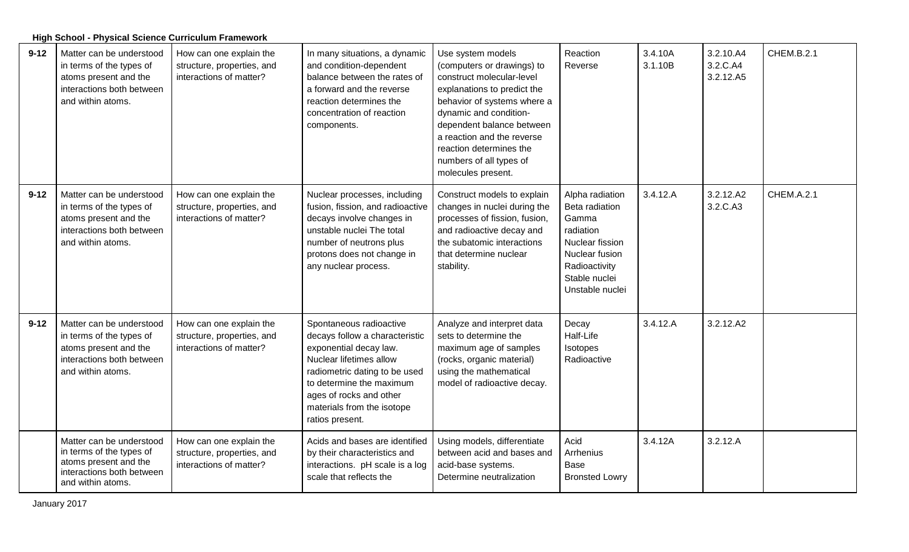|          | <b>High School - Physical Science Curriculum Framework</b>                                                                      |                                                                                  |                                                                                                                                                                                                                                                         |                                                                                                                                                                                                                                                                                                             |                                                                                                                                                   |                    |                                    |                   |  |  |  |  |
|----------|---------------------------------------------------------------------------------------------------------------------------------|----------------------------------------------------------------------------------|---------------------------------------------------------------------------------------------------------------------------------------------------------------------------------------------------------------------------------------------------------|-------------------------------------------------------------------------------------------------------------------------------------------------------------------------------------------------------------------------------------------------------------------------------------------------------------|---------------------------------------------------------------------------------------------------------------------------------------------------|--------------------|------------------------------------|-------------------|--|--|--|--|
| $9 - 12$ | Matter can be understood<br>in terms of the types of<br>atoms present and the<br>interactions both between<br>and within atoms. | How can one explain the<br>structure, properties, and<br>interactions of matter? | In many situations, a dynamic<br>and condition-dependent<br>balance between the rates of<br>a forward and the reverse<br>reaction determines the<br>concentration of reaction<br>components.                                                            | Use system models<br>(computers or drawings) to<br>construct molecular-level<br>explanations to predict the<br>behavior of systems where a<br>dynamic and condition-<br>dependent balance between<br>a reaction and the reverse<br>reaction determines the<br>numbers of all types of<br>molecules present. | Reaction<br>Reverse                                                                                                                               | 3.4.10A<br>3.1.10B | 3.2.10.A4<br>3.2.C.A4<br>3.2.12.A5 | CHEM.B.2.1        |  |  |  |  |
| $9 - 12$ | Matter can be understood<br>in terms of the types of<br>atoms present and the<br>interactions both between<br>and within atoms. | How can one explain the<br>structure, properties, and<br>interactions of matter? | Nuclear processes, including<br>fusion, fission, and radioactive<br>decays involve changes in<br>unstable nuclei The total<br>number of neutrons plus<br>protons does not change in<br>any nuclear process.                                             | Construct models to explain<br>changes in nuclei during the<br>processes of fission, fusion,<br>and radioactive decay and<br>the subatomic interactions<br>that determine nuclear<br>stability.                                                                                                             | Alpha radiation<br>Beta radiation<br>Gamma<br>radiation<br>Nuclear fission<br>Nuclear fusion<br>Radioactivity<br>Stable nuclei<br>Unstable nuclei | 3.4.12.A           | 3.2.12.A2<br>3.2.C.A3              | <b>CHEM.A.2.1</b> |  |  |  |  |
| $9 - 12$ | Matter can be understood<br>in terms of the types of<br>atoms present and the<br>interactions both between<br>and within atoms. | How can one explain the<br>structure, properties, and<br>interactions of matter? | Spontaneous radioactive<br>decays follow a characteristic<br>exponential decay law.<br>Nuclear lifetimes allow<br>radiometric dating to be used<br>to determine the maximum<br>ages of rocks and other<br>materials from the isotope<br>ratios present. | Analyze and interpret data<br>sets to determine the<br>maximum age of samples<br>(rocks, organic material)<br>using the mathematical<br>model of radioactive decay.                                                                                                                                         | Decay<br>Half-Life<br>Isotopes<br>Radioactive                                                                                                     | 3.4.12.A           | 3.2.12.A2                          |                   |  |  |  |  |
|          | Matter can be understood<br>in terms of the types of<br>atoms present and the<br>interactions both between<br>and within atoms. | How can one explain the<br>structure, properties, and<br>interactions of matter? | Acids and bases are identified<br>by their characteristics and<br>interactions. pH scale is a log<br>scale that reflects the                                                                                                                            | Using models, differentiate<br>between acid and bases and<br>acid-base systems.<br>Determine neutralization                                                                                                                                                                                                 | Acid<br>Arrhenius<br>Base<br><b>Bronsted Lowry</b>                                                                                                | 3.4.12A            | 3.2.12.A                           |                   |  |  |  |  |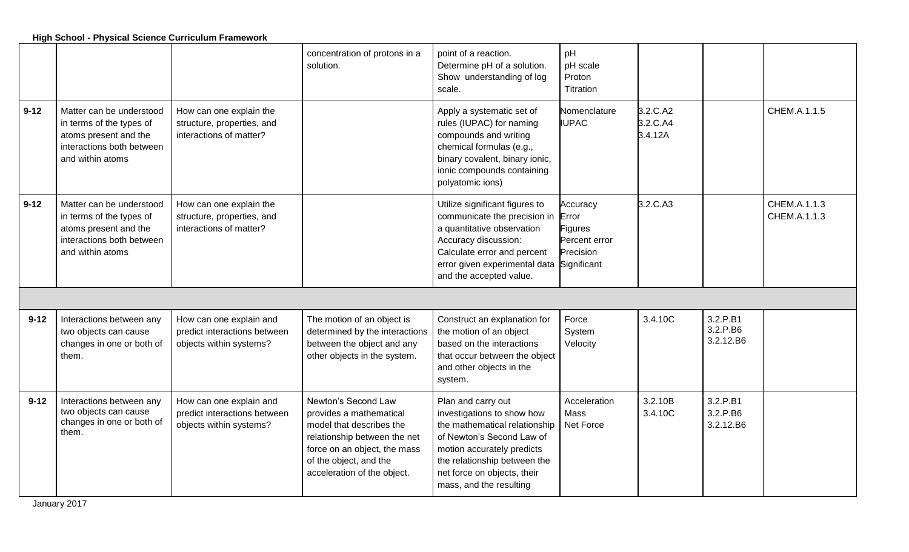|          |                                                                                                                                |                                                                                    | concentration of protons in a<br>solution.                                                                                                                                                          | point of a reaction.<br>Determine pH of a solution.<br>Show understanding of log<br>scale.                                                                                                                                             | pH<br>pH scale<br>Proton<br>Titration                      |                                 |                                   |                              |
|----------|--------------------------------------------------------------------------------------------------------------------------------|------------------------------------------------------------------------------------|-----------------------------------------------------------------------------------------------------------------------------------------------------------------------------------------------------|----------------------------------------------------------------------------------------------------------------------------------------------------------------------------------------------------------------------------------------|------------------------------------------------------------|---------------------------------|-----------------------------------|------------------------------|
| $9 - 12$ | Matter can be understood<br>in terms of the types of<br>atoms present and the<br>interactions both between<br>and within atoms | How can one explain the<br>structure, properties, and<br>interactions of matter?   |                                                                                                                                                                                                     | Apply a systematic set of<br>rules (IUPAC) for naming<br>compounds and writing<br>chemical formulas (e.g.,<br>binary covalent, binary ionic,<br>ionic compounds containing<br>polyatomic ions)                                         | Nomenclature<br><b>IUPAC</b>                               | 3.2.C.A2<br>3.2.C.A4<br>3.4.12A |                                   | CHEM.A.1.1.5                 |
| $9 - 12$ | Matter can be understood<br>in terms of the types of<br>atoms present and the<br>interactions both between<br>and within atoms | How can one explain the<br>structure, properties, and<br>interactions of matter?   |                                                                                                                                                                                                     | Utilize significant figures to<br>communicate the precision in<br>a quantitative observation<br>Accuracy discussion:<br>Calculate error and percent<br>error given experimental data Significant<br>and the accepted value.            | Accuracy<br>Error<br>Figures<br>Percent error<br>Precision | 3.2.C.A3                        |                                   | CHEM.A.1.1.3<br>CHEM.A.1.1.3 |
|          |                                                                                                                                |                                                                                    |                                                                                                                                                                                                     |                                                                                                                                                                                                                                        |                                                            |                                 |                                   |                              |
| $9 - 12$ | Interactions between any<br>two objects can cause<br>changes in one or both of<br>them.                                        | How can one explain and<br>predict interactions between<br>objects within systems? | The motion of an object is<br>determined by the interactions<br>between the object and any<br>other objects in the system.                                                                          | Construct an explanation for<br>the motion of an object<br>based on the interactions<br>that occur between the object<br>and other objects in the<br>system.                                                                           | Force<br>System<br>Velocity                                | 3.4.10C                         | 3.2.P.B1<br>3.2.P.B6<br>3.2.12.B6 |                              |
| $9 - 12$ | Interactions between any<br>two objects can cause<br>changes in one or both of<br>them.                                        | How can one explain and<br>predict interactions between<br>objects within systems? | Newton's Second Law<br>provides a mathematical<br>model that describes the<br>relationship between the net<br>force on an object, the mass<br>of the object, and the<br>acceleration of the object. | Plan and carry out<br>investigations to show how<br>the mathematical relationship<br>of Newton's Second Law of<br>motion accurately predicts<br>the relationship between the<br>net force on objects, their<br>mass, and the resulting | Acceleration<br>Mass<br>Net Force                          | 3.2.10B<br>3.4.10C              | 3.2.P.B1<br>3.2.P.B6<br>3.2.12.B6 |                              |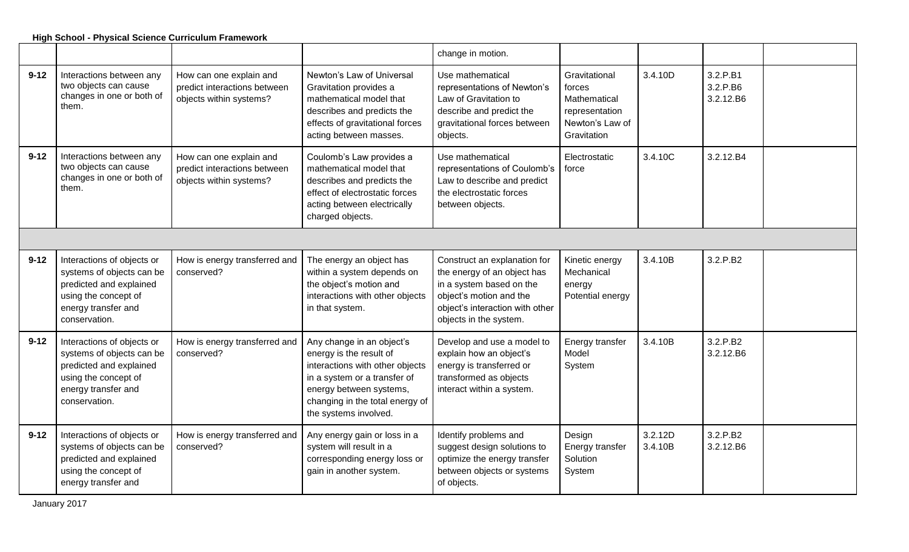|          | High School - Physical Science Curriculum Framework                                                                                                |                                                                                    |                                                                                                                                                                                                                |                                                                                                                                                                                 |                                                                                             |                    |                                   |  |  |  |
|----------|----------------------------------------------------------------------------------------------------------------------------------------------------|------------------------------------------------------------------------------------|----------------------------------------------------------------------------------------------------------------------------------------------------------------------------------------------------------------|---------------------------------------------------------------------------------------------------------------------------------------------------------------------------------|---------------------------------------------------------------------------------------------|--------------------|-----------------------------------|--|--|--|
|          |                                                                                                                                                    |                                                                                    |                                                                                                                                                                                                                | change in motion.                                                                                                                                                               |                                                                                             |                    |                                   |  |  |  |
| $9 - 12$ | Interactions between any<br>two objects can cause<br>changes in one or both of<br>them.                                                            | How can one explain and<br>predict interactions between<br>objects within systems? | Newton's Law of Universal<br>Gravitation provides a<br>mathematical model that<br>describes and predicts the<br>effects of gravitational forces<br>acting between masses.                                      | Use mathematical<br>representations of Newton's<br>Law of Gravitation to<br>describe and predict the<br>gravitational forces between<br>objects.                                | Gravitational<br>forces<br>Mathematical<br>representation<br>Newton's Law of<br>Gravitation | 3.4.10D            | 3.2.P.B1<br>3.2.P.B6<br>3.2.12.B6 |  |  |  |
| $9 - 12$ | Interactions between any<br>two objects can cause<br>changes in one or both of<br>them.                                                            | How can one explain and<br>predict interactions between<br>objects within systems? | Coulomb's Law provides a<br>mathematical model that<br>describes and predicts the<br>effect of electrostatic forces<br>acting between electrically<br>charged objects.                                         | Use mathematical<br>representations of Coulomb's<br>Law to describe and predict<br>the electrostatic forces<br>between objects.                                                 | Electrostatic<br>force                                                                      | 3.4.10C            | 3.2.12.B4                         |  |  |  |
|          |                                                                                                                                                    |                                                                                    |                                                                                                                                                                                                                |                                                                                                                                                                                 |                                                                                             |                    |                                   |  |  |  |
| $9 - 12$ | Interactions of objects or<br>systems of objects can be<br>predicted and explained<br>using the concept of<br>energy transfer and<br>conservation. | How is energy transferred and<br>conserved?                                        | The energy an object has<br>within a system depends on<br>the object's motion and<br>interactions with other objects<br>in that system.                                                                        | Construct an explanation for<br>the energy of an object has<br>in a system based on the<br>object's motion and the<br>object's interaction with other<br>objects in the system. | Kinetic energy<br>Mechanical<br>energy<br>Potential energy                                  | 3.4.10B            | 3.2.P.B2                          |  |  |  |
| $9 - 12$ | Interactions of objects or<br>systems of objects can be<br>predicted and explained<br>using the concept of<br>energy transfer and<br>conservation. | How is energy transferred and<br>conserved?                                        | Any change in an object's<br>energy is the result of<br>interactions with other objects<br>in a system or a transfer of<br>energy between systems,<br>changing in the total energy of<br>the systems involved. | Develop and use a model to<br>explain how an object's<br>energy is transferred or<br>transformed as objects<br>interact within a system.                                        | Energy transfer<br>Model<br>System                                                          | 3.4.10B            | 3.2.P.B2<br>3.2.12.B6             |  |  |  |
| $9 - 12$ | Interactions of objects or<br>systems of objects can be<br>predicted and explained<br>using the concept of<br>energy transfer and                  | How is energy transferred and<br>conserved?                                        | Any energy gain or loss in a<br>system will result in a<br>corresponding energy loss or<br>gain in another system.                                                                                             | Identify problems and<br>suggest design solutions to<br>optimize the energy transfer<br>between objects or systems<br>of objects.                                               | Design<br>Energy transfer<br>Solution<br>System                                             | 3.2.12D<br>3.4.10B | 3.2.P.B2<br>3.2.12.B6             |  |  |  |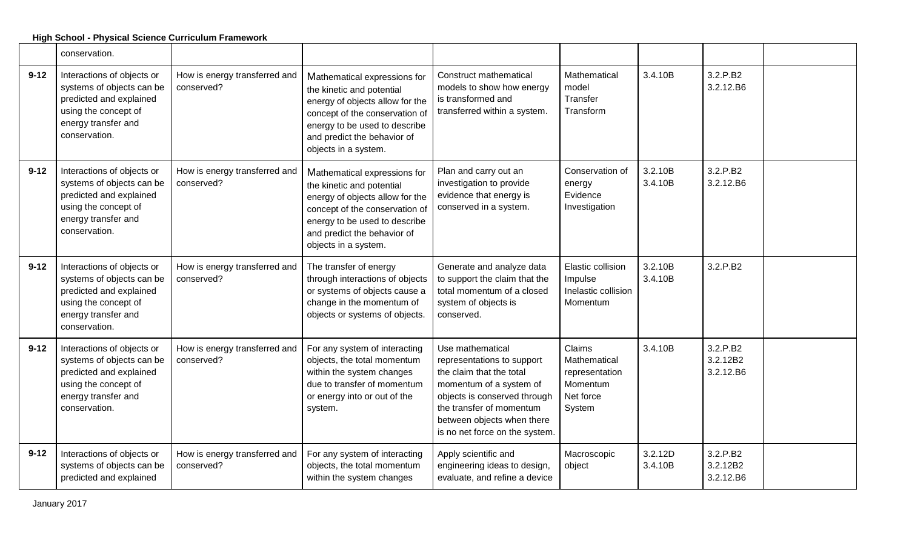## conservation. **9-12** Interactions of objects or systems of objects can be predicted and explained using the concept of energy transfer and conservation. How is energy transferred and conserved? Mathematical expressions for the kinetic and potential energy of objects allow for the concept of the conservation of energy to be used to describe and predict the behavior of objects in a system. Construct mathematical models to show how energy is transformed and transferred within a system. Mathematical model **Transfer Transform** 3.4.10B 3.2.P.B2 3.2.12.B6 **9-12** Interactions of objects or systems of objects can be predicted and explained using the concept of energy transfer and conservation. How is energy transferred and conserved? Mathematical expressions for the kinetic and potential energy of objects allow for the concept of the conservation of energy to be used to describe and predict the behavior of objects in a system. Plan and carry out an investigation to provide evidence that energy is conserved in a system. Conservation of energy Evidence Investigation 3.2.10B 3.4.10B 3.2.P.B2 3.2.12.B6 **9-12** Interactions of objects or systems of objects can be predicted and explained using the concept of energy transfer and conservation. How is energy transferred and conserved? The transfer of energy through interactions of objects or systems of objects cause a change in the momentum of objects or systems of objects. Generate and analyze data to support the claim that the total momentum of a closed system of objects is conserved. Elastic collision Impulse Inelastic collision Momentum 3.2.10B 3.4.10B 3.2.P.B2 **9-12** Interactions of objects or systems of objects can be predicted and explained using the concept of energy transfer and conservation. How is energy transferred and conserved? For any system of interacting objects, the total momentum within the system changes due to transfer of momentum or energy into or out of the system. Use mathematical representations to support the claim that the total momentum of a system of objects is conserved through the transfer of momentum between objects when there is no net force on the system. Claims Mathematical representation Momentum Net force System 3.4.10B 3.2.P.B2 3.2.12B2 3.2.12.B6 **9-12** Interactions of objects or systems of objects can be predicted and explained How is energy transferred and conserved? For any system of interacting objects, the total momentum within the system changes Apply scientific and engineering ideas to design, evaluate, and refine a device Macroscopic object 3.2.12D 3.4.10B 3.2.P.B2 3.2.12B2 3.2.12.B6

## **High School - Physical Science Curriculum Framework**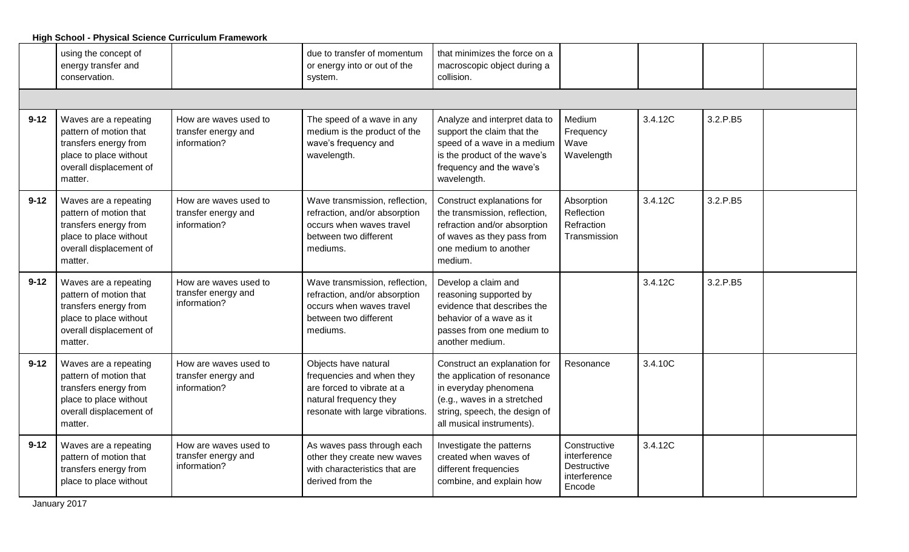|          | using the concept of<br>energy transfer and<br>conservation.                                                                             |                                                              | due to transfer of momentum<br>or energy into or out of the<br>system.                                                                       | that minimizes the force on a<br>macroscopic object during a<br>collision.                                                                                                         |                                                                       |         |          |  |
|----------|------------------------------------------------------------------------------------------------------------------------------------------|--------------------------------------------------------------|----------------------------------------------------------------------------------------------------------------------------------------------|------------------------------------------------------------------------------------------------------------------------------------------------------------------------------------|-----------------------------------------------------------------------|---------|----------|--|
|          |                                                                                                                                          |                                                              |                                                                                                                                              |                                                                                                                                                                                    |                                                                       |         |          |  |
| $9 - 12$ | Waves are a repeating<br>pattern of motion that<br>transfers energy from<br>place to place without<br>overall displacement of<br>matter. | How are waves used to<br>transfer energy and<br>information? | The speed of a wave in any<br>medium is the product of the<br>wave's frequency and<br>wavelength.                                            | Analyze and interpret data to<br>support the claim that the<br>speed of a wave in a medium<br>is the product of the wave's<br>frequency and the wave's<br>wavelength.              | Medium<br>Frequency<br>Wave<br>Wavelength                             | 3.4.12C | 3.2.P.B5 |  |
| $9 - 12$ | Waves are a repeating<br>pattern of motion that<br>transfers energy from<br>place to place without<br>overall displacement of<br>matter. | How are waves used to<br>transfer energy and<br>information? | Wave transmission, reflection,<br>refraction, and/or absorption<br>occurs when waves travel<br>between two different<br>mediums.             | Construct explanations for<br>the transmission, reflection,<br>refraction and/or absorption<br>of waves as they pass from<br>one medium to another<br>medium.                      | Absorption<br>Reflection<br>Refraction<br>Transmission                | 3.4.12C | 3.2.P.B5 |  |
| $9 - 12$ | Waves are a repeating<br>pattern of motion that<br>transfers energy from<br>place to place without<br>overall displacement of<br>matter. | How are waves used to<br>transfer energy and<br>information? | Wave transmission, reflection,<br>refraction, and/or absorption<br>occurs when waves travel<br>between two different<br>mediums.             | Develop a claim and<br>reasoning supported by<br>evidence that describes the<br>behavior of a wave as it<br>passes from one medium to<br>another medium.                           |                                                                       | 3.4.12C | 3.2.P.B5 |  |
| $9 - 12$ | Waves are a repeating<br>pattern of motion that<br>transfers energy from<br>place to place without<br>overall displacement of<br>matter. | How are waves used to<br>transfer energy and<br>information? | Objects have natural<br>frequencies and when they<br>are forced to vibrate at a<br>natural frequency they<br>resonate with large vibrations. | Construct an explanation for<br>the application of resonance<br>in everyday phenomena<br>(e.g., waves in a stretched<br>string, speech, the design of<br>all musical instruments). | Resonance                                                             | 3.4.10C |          |  |
| $9 - 12$ | Waves are a repeating<br>pattern of motion that<br>transfers energy from<br>place to place without                                       | How are waves used to<br>transfer energy and<br>information? | As waves pass through each<br>other they create new waves<br>with characteristics that are<br>derived from the                               | Investigate the patterns<br>created when waves of<br>different frequencies<br>combine, and explain how                                                                             | Constructive<br>interference<br>Destructive<br>interference<br>Encode | 3.4.12C |          |  |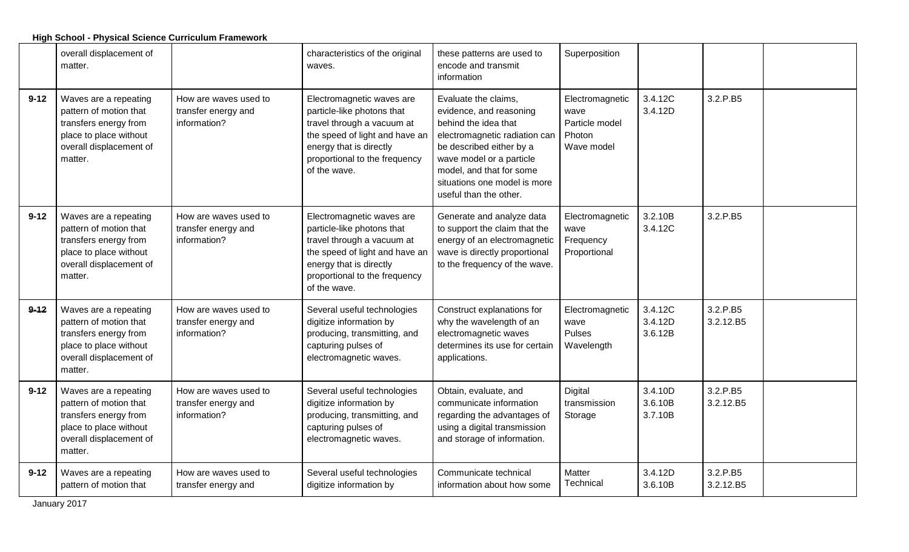|          | overall displacement of<br>matter.                                                                                                       |                                                              | characteristics of the original<br>waves.                                                                                                                                                           | these patterns are used to<br>encode and transmit<br>information                                                                                                                                                                                       | Superposition                                                     |                               |                       |  |
|----------|------------------------------------------------------------------------------------------------------------------------------------------|--------------------------------------------------------------|-----------------------------------------------------------------------------------------------------------------------------------------------------------------------------------------------------|--------------------------------------------------------------------------------------------------------------------------------------------------------------------------------------------------------------------------------------------------------|-------------------------------------------------------------------|-------------------------------|-----------------------|--|
| $9 - 12$ | Waves are a repeating<br>pattern of motion that<br>transfers energy from<br>place to place without<br>overall displacement of<br>matter. | How are waves used to<br>transfer energy and<br>information? | Electromagnetic waves are<br>particle-like photons that<br>travel through a vacuum at<br>the speed of light and have an<br>energy that is directly<br>proportional to the frequency<br>of the wave. | Evaluate the claims,<br>evidence, and reasoning<br>behind the idea that<br>electromagnetic radiation can<br>be described either by a<br>wave model or a particle<br>model, and that for some<br>situations one model is more<br>useful than the other. | Electromagnetic<br>wave<br>Particle model<br>Photon<br>Wave model | 3.4.12C<br>3.4.12D            | 3.2.P.B5              |  |
| $9 - 12$ | Waves are a repeating<br>pattern of motion that<br>transfers energy from<br>place to place without<br>overall displacement of<br>matter. | How are waves used to<br>transfer energy and<br>information? | Electromagnetic waves are<br>particle-like photons that<br>travel through a vacuum at<br>the speed of light and have an<br>energy that is directly<br>proportional to the frequency<br>of the wave. | Generate and analyze data<br>to support the claim that the<br>energy of an electromagnetic<br>wave is directly proportional<br>to the frequency of the wave.                                                                                           | Electromagnetic<br>wave<br>Frequency<br>Proportional              | 3.2.10B<br>3.4.12C            | 3.2.P.B5              |  |
| $9 - 12$ | Waves are a repeating<br>pattern of motion that<br>transfers energy from<br>place to place without<br>overall displacement of<br>matter. | How are waves used to<br>transfer energy and<br>information? | Several useful technologies<br>digitize information by<br>producing, transmitting, and<br>capturing pulses of<br>electromagnetic waves.                                                             | Construct explanations for<br>why the wavelength of an<br>electromagnetic waves<br>determines its use for certain<br>applications.                                                                                                                     | Electromagnetic<br>wave<br>Pulses<br>Wavelength                   | 3.4.12C<br>3.4.12D<br>3.6.12B | 3.2.P.B5<br>3.2.12.B5 |  |
| $9 - 12$ | Waves are a repeating<br>pattern of motion that<br>transfers energy from<br>place to place without<br>overall displacement of<br>matter. | How are waves used to<br>transfer energy and<br>information? | Several useful technologies<br>digitize information by<br>producing, transmitting, and<br>capturing pulses of<br>electromagnetic waves.                                                             | Obtain, evaluate, and<br>communicate information<br>regarding the advantages of<br>using a digital transmission<br>and storage of information.                                                                                                         | Digital<br>transmission<br>Storage                                | 3.4.10D<br>3.6.10B<br>3.7.10B | 3.2.P.B5<br>3.2.12.B5 |  |
| $9 - 12$ | Waves are a repeating<br>pattern of motion that                                                                                          | How are waves used to<br>transfer energy and                 | Several useful technologies<br>digitize information by                                                                                                                                              | Communicate technical<br>information about how some                                                                                                                                                                                                    | Matter<br>Technical                                               | 3.4.12D<br>3.6.10B            | 3.2.P.B5<br>3.2.12.B5 |  |

**High School - Physical Science Curriculum Framework**